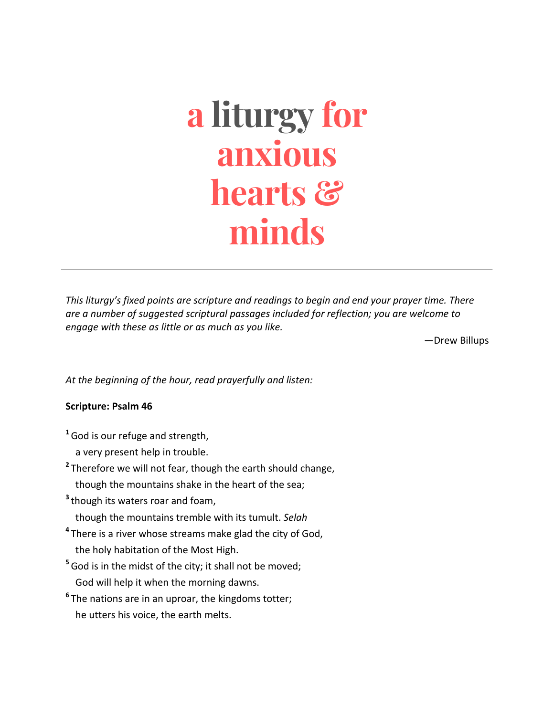# **a liturgy for anxious hearts & minds**

*This liturgy's fixed points are scripture and readings to begin and end your prayer time. There* are a number of suggested scriptural passages included for reflection; you are welcome to *engage with these as little or as much as you like.*

—Drew Billups

At the beginning of the hour, read prayerfully and listen:

#### **Scripture: Psalm 46**

- <sup>1</sup> God is our refuge and strength,
	- a very present help in trouble.
- <sup>2</sup> Therefore we will not fear, though the earth should change, though the mountains shake in the heart of the sea:
- <sup>3</sup> though its waters roar and foam,
	- though the mountains tremble with its tumult. *Selah*
- <sup>4</sup> There is a river whose streams make glad the city of God, the holy habitation of the Most High.
- <sup>5</sup> God is in the midst of the city; it shall not be moved; God will help it when the morning dawns.
- <sup>6</sup> The nations are in an uproar, the kingdoms totter; he utters his voice, the earth melts.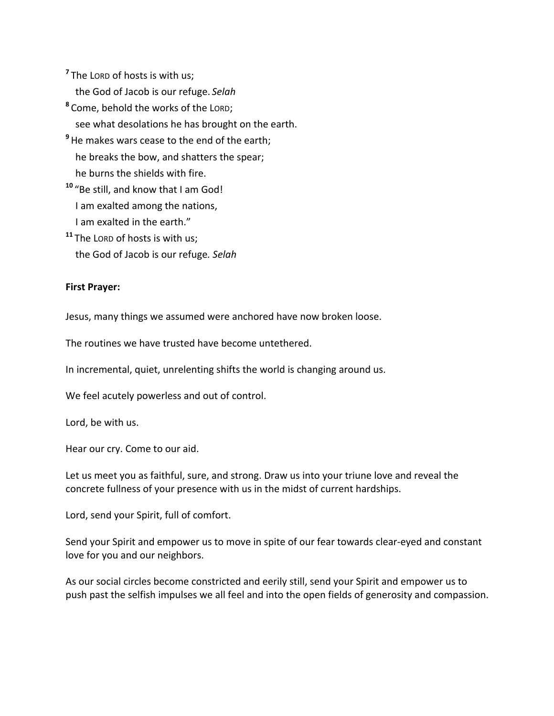$<sup>7</sup>$  The LORD of hosts is with us;</sup>

the God of Jacob is our refuge. Selah

<sup>8</sup> Come, behold the works of the LORD; see what desolations he has brought on the earth.

<sup>9</sup> He makes wars cease to the end of the earth;

he breaks the bow, and shatters the spear;

he burns the shields with fire.

<sup>10</sup> "Be still, and know that I am God!

I am exalted among the nations,

I am exalted in the earth."

<sup>11</sup> The LORD of hosts is with us; the God of Jacob is our refuge. Selah

### **First Prayer:**

Jesus, many things we assumed were anchored have now broken loose.

The routines we have trusted have become untethered.

In incremental, quiet, unrelenting shifts the world is changing around us.

We feel acutely powerless and out of control.

Lord, be with us.

Hear our cry. Come to our aid.

Let us meet you as faithful, sure, and strong. Draw us into your triune love and reveal the concrete fullness of your presence with us in the midst of current hardships.

Lord, send your Spirit, full of comfort.

Send your Spirit and empower us to move in spite of our fear towards clear-eyed and constant love for you and our neighbors.

As our social circles become constricted and eerily still, send your Spirit and empower us to push past the selfish impulses we all feel and into the open fields of generosity and compassion.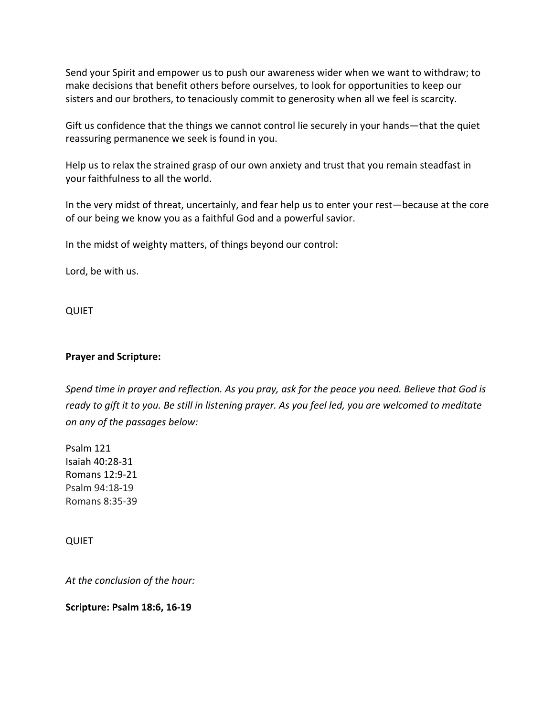Send your Spirit and empower us to push our awareness wider when we want to withdraw; to make decisions that benefit others before ourselves, to look for opportunities to keep our sisters and our brothers, to tenaciously commit to generosity when all we feel is scarcity.

Gift us confidence that the things we cannot control lie securely in your hands—that the quiet reassuring permanence we seek is found in you.

Help us to relax the strained grasp of our own anxiety and trust that you remain steadfast in your faithfulness to all the world.

In the very midst of threat, uncertainly, and fear help us to enter your rest—because at the core of our being we know you as a faithful God and a powerful savior.

In the midst of weighty matters, of things beyond our control:

Lord, be with us.

QUIET

#### **Prayer and Scripture:**

*Spend time in prayer and reflection. As you pray, ask for the peace you need. Believe that God is ready* to gift it to you. Be still in listening prayer. As you feel led, you are welcomed to meditate *on any of the passages below:*

Psalm 121 Isaiah 40:28-31 Romans 12:9-21 Psalm 94:18-19 Romans 8:35-39

QUIET

At the conclusion of the hour:

**Scripture: Psalm 18:6, 16-19**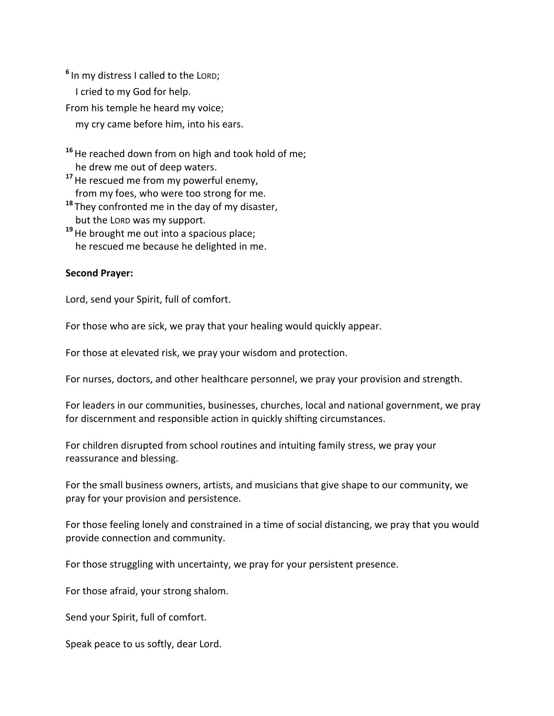<sup>6</sup> In my distress I called to the LORD; I cried to my God for help. From his temple he heard my voice; my cry came before him, into his ears.

<sup>16</sup> He reached down from on high and took hold of me; he drew me out of deep waters.

<sup>17</sup> He rescued me from my powerful enemy, from my foes, who were too strong for me.

<sup>18</sup> They confronted me in the day of my disaster, but the LORD was my support.

<sup>19</sup> He brought me out into a spacious place; he rescued me because he delighted in me.

### **Second Prayer:**

Lord, send your Spirit, full of comfort.

For those who are sick, we pray that your healing would quickly appear.

For those at elevated risk, we pray your wisdom and protection.

For nurses, doctors, and other healthcare personnel, we pray your provision and strength.

For leaders in our communities, businesses, churches, local and national government, we pray for discernment and responsible action in quickly shifting circumstances.

For children disrupted from school routines and intuiting family stress, we pray your reassurance and blessing.

For the small business owners, artists, and musicians that give shape to our community, we pray for your provision and persistence.

For those feeling lonely and constrained in a time of social distancing, we pray that you would provide connection and community.

For those struggling with uncertainty, we pray for your persistent presence.

For those afraid, your strong shalom.

Send your Spirit, full of comfort.

Speak peace to us softly, dear Lord.